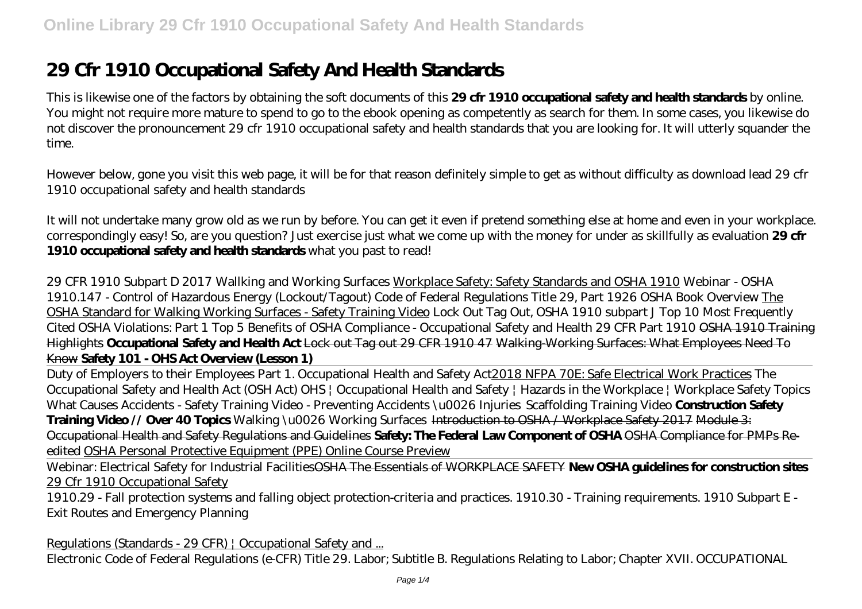# **29 Cfr 1910 Occupational Safety And Health Standards**

This is likewise one of the factors by obtaining the soft documents of this **29 cfr 1910 occupational safety and health standards** by online. You might not require more mature to spend to go to the ebook opening as competently as search for them. In some cases, you likewise do not discover the pronouncement 29 cfr 1910 occupational safety and health standards that you are looking for. It will utterly squander the time.

However below, gone you visit this web page, it will be for that reason definitely simple to get as without difficulty as download lead 29 cfr 1910 occupational safety and health standards

It will not undertake many grow old as we run by before. You can get it even if pretend something else at home and even in your workplace. correspondingly easy! So, are you question? Just exercise just what we come up with the money for under as skillfully as evaluation **29 cfr 1910 occupational safety and health standards** what you past to read!

*29 CFR 1910 Subpart D 2017 Wallking and Working Surfaces* Workplace Safety: Safety Standards and OSHA 1910 *Webinar - OSHA 1910.147 - Control of Hazardous Energy (Lockout/Tagout)* Code of Federal Regulations Title 29, Part 1926 OSHA Book Overview The OSHA Standard for Walking Working Surfaces - Safety Training Video *Lock Out Tag Out, OSHA 1910 subpart J Top 10 Most Frequently Cited OSHA Violations: Part 1* Top 5 Benefits of OSHA Compliance - Occupational Safety and Health 29 CFR Part 1910 OSHA 1910 Training Highlights **Occupational Safety and Health Act** Lock out Tag out 29 CFR 1910 47 Walking-Working Surfaces: What Employees Need To Know **Safety 101 - OHS Act Overview (Lesson 1)**

Duty of Employers to their Employees Part 1. Occupational Health and Safety Act2018 NFPA 70E: Safe Electrical Work Practices *The Occupational Safety and Health Act (OSH Act)* OHS | Occupational Health and Safety | Hazards in the Workplace | Workplace Safety Topics *What Causes Accidents - Safety Training Video - Preventing Accidents \u0026 Injuries Scaffolding Training Video* **Construction Safety Training Video // Over 40 Topics** *Walking \u0026 Working Surfaces* Introduction to OSHA / Workplace Safety 2017 Module 3: Occupational Health and Safety Regulations and Guidelines **Safety: The Federal Law Component of OSHA** OSHA Compliance for PMPs Reedited OSHA Personal Protective Equipment (PPE) Online Course Preview

Webinar: Electrical Safety for Industrial FacilitiesOSHA The Essentials of WORKPLACE SAFETY **New OSHA guidelines for construction sites** 29 Cfr 1910 Occupational Safety

1910.29 - Fall protection systems and falling object protection-criteria and practices. 1910.30 - Training requirements. 1910 Subpart E - Exit Routes and Emergency Planning

Regulations (Standards - 29 CFR) | Occupational Safety and ... Electronic Code of Federal Regulations (e-CFR) Title 29. Labor; Subtitle B. Regulations Relating to Labor; Chapter XVII. OCCUPATIONAL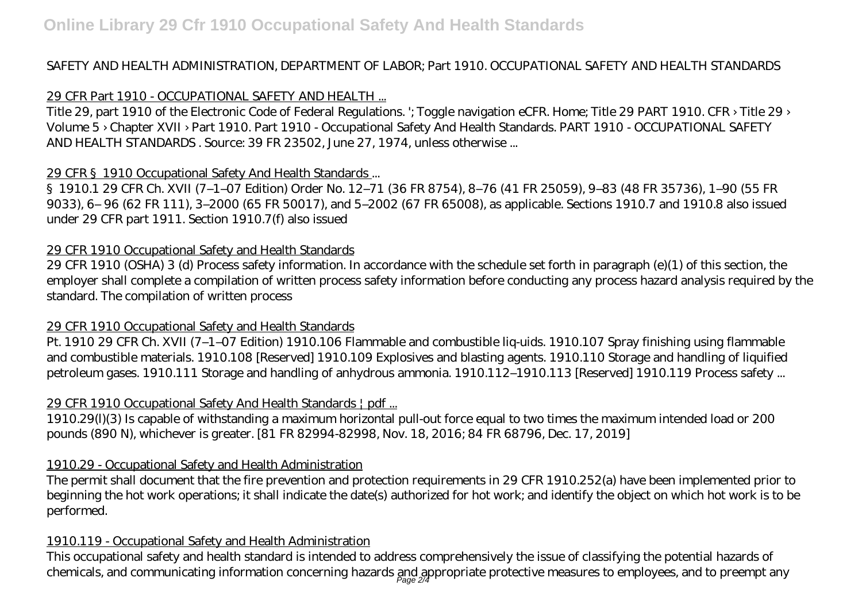## SAFETY AND HEALTH ADMINISTRATION, DEPARTMENT OF LABOR; Part 1910. OCCUPATIONAL SAFETY AND HEALTH STANDARDS

# 29 CFR Part 1910 - OCCUPATIONAL SAFETY AND HEALTH ...

Title 29, part 1910 of the Electronic Code of Federal Regulations. '; Toggle navigation eCFR. Home; Title 29 PART 1910. CFR > Title 29 > Volume 5 › Chapter XVII › Part 1910. Part 1910 - Occupational Safety And Health Standards. PART 1910 - OCCUPATIONAL SAFETY AND HEALTH STANDARDS . Source: 39 FR 23502, June 27, 1974, unless otherwise ...

## 29 CFR §1910 Occupational Safety And Health Standards ...

§1910.1 29 CFR Ch. XVII (7–1–07 Edition) Order No. 12–71 (36 FR 8754), 8–76 (41 FR 25059), 9–83 (48 FR 35736), 1–90 (55 FR 9033), 6– 96 (62 FR 111), 3–2000 (65 FR 50017), and 5–2002 (67 FR 65008), as applicable. Sections 1910.7 and 1910.8 also issued under 29 CFR part 1911. Section 1910.7(f) also issued

## 29 CFR 1910 Occupational Safety and Health Standards

29 CFR 1910 (OSHA) 3 (d) Process safety information. In accordance with the schedule set forth in paragraph (e)(1) of this section, the employer shall complete a compilation of written process safety information before conducting any process hazard analysis required by the standard. The compilation of written process

# 29 CFR 1910 Occupational Safety and Health Standards

Pt. 1910 29 CFR Ch. XVII (7–1–07 Edition) 1910.106 Flammable and combustible liq-uids. 1910.107 Spray finishing using flammable and combustible materials. 1910.108 [Reserved] 1910.109 Explosives and blasting agents. 1910.110 Storage and handling of liquified petroleum gases. 1910.111 Storage and handling of anhydrous ammonia. 1910.112–1910.113 [Reserved] 1910.119 Process safety ...

# 29 CFR 1910 Occupational Safety And Health Standards | pdf ...

1910.29(l)(3) Is capable of withstanding a maximum horizontal pull-out force equal to two times the maximum intended load or 200 pounds (890 N), whichever is greater. [81 FR 82994-82998, Nov. 18, 2016; 84 FR 68796, Dec. 17, 2019]

# 1910.29 - Occupational Safety and Health Administration

The permit shall document that the fire prevention and protection requirements in 29 CFR 1910.252(a) have been implemented prior to beginning the hot work operations; it shall indicate the date(s) authorized for hot work; and identify the object on which hot work is to be performed.

## 1910.119 - Occupational Safety and Health Administration

This occupational safety and health standard is intended to address comprehensively the issue of classifying the potential hazards of chemicals, and communicating information concerning hazards and appropriate protective measures to employees, and to preempt any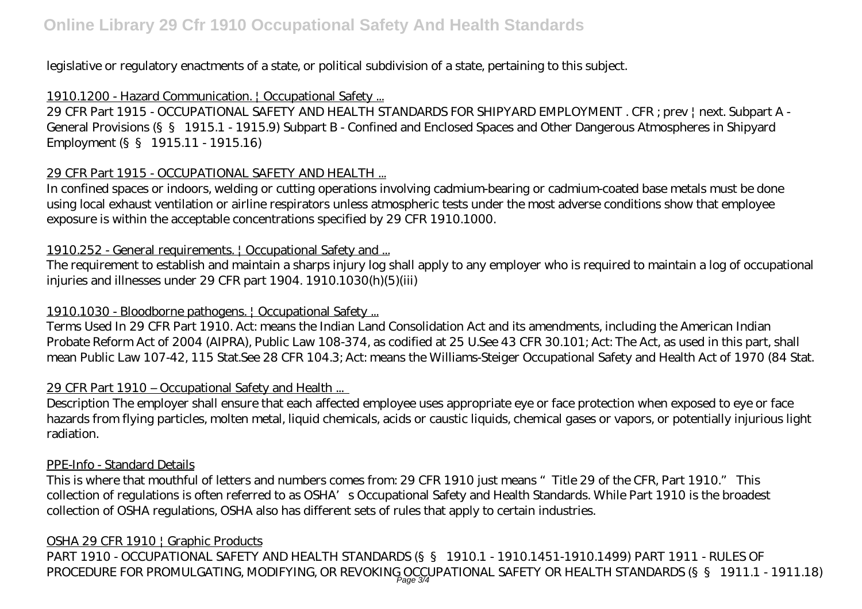legislative or regulatory enactments of a state, or political subdivision of a state, pertaining to this subject.

# 1910.1200 - Hazard Communication. | Occupational Safety ...

29 CFR Part 1915 - OCCUPATIONAL SAFETY AND HEALTH STANDARDS FOR SHIPYARD EMPLOYMENT . CFR ; prev | next. Subpart A - General Provisions (§§ 1915.1 - 1915.9) Subpart B - Confined and Enclosed Spaces and Other Dangerous Atmospheres in Shipyard Employment (§§ 1915.11 - 1915.16)

# 29 CFR Part 1915 - OCCUPATIONAL SAFETY AND HEALTH ...

In confined spaces or indoors, welding or cutting operations involving cadmium-bearing or cadmium-coated base metals must be done using local exhaust ventilation or airline respirators unless atmospheric tests under the most adverse conditions show that employee exposure is within the acceptable concentrations specified by 29 CFR 1910.1000.

# 1910.252 - General requirements. | Occupational Safety and ...

The requirement to establish and maintain a sharps injury log shall apply to any employer who is required to maintain a log of occupational injuries and illnesses under 29 CFR part 1904. 1910.1030(h)(5)(iii)

# 1910.1030 - Bloodborne pathogens. | Occupational Safety ...

Terms Used In 29 CFR Part 1910. Act: means the Indian Land Consolidation Act and its amendments, including the American Indian Probate Reform Act of 2004 (AIPRA), Public Law 108-374, as codified at 25 U.See 43 CFR 30.101; Act: The Act, as used in this part, shall mean Public Law 107-42, 115 Stat.See 28 CFR 104.3; Act: means the Williams-Steiger Occupational Safety and Health Act of 1970 (84 Stat.

# 29 CFR Part 1910 – Occupational Safety and Health ...

Description The employer shall ensure that each affected employee uses appropriate eye or face protection when exposed to eye or face hazards from flying particles, molten metal, liquid chemicals, acids or caustic liquids, chemical gases or vapors, or potentially injurious light radiation.

## PPE-Info - Standard Details

This is where that mouthful of letters and numbers comes from: 29 CFR 1910 just means "Title 29 of the CFR, Part 1910." This collection of regulations is often referred to as OSHA's Occupational Safety and Health Standards. While Part 1910 is the broadest collection of OSHA regulations, OSHA also has different sets of rules that apply to certain industries.

## OSHA 29 CFR 1910 | Graphic Products

PART 1910 - OCCUPATIONAL SAFETY AND HEALTH STANDARDS (§ § 1910.1 - 1910.1451-1910.1499) PART 1911 - RULES OF PROCEDURE FOR PROMULGATING, MODIFYING, OR REVOKING OCCUPATIONAL SAFETY OR HEALTH STANDARDS (§ § 1911.1 - 1911.18)